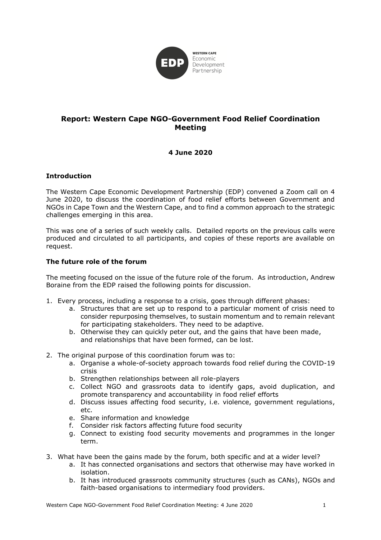

# **Report: Western Cape NGO-Government Food Relief Coordination Meeting**

# **4 June 2020**

## **Introduction**

The Western Cape Economic Development Partnership (EDP) convened a Zoom call on 4 June 2020, to discuss the coordination of food relief efforts between Government and NGOs in Cape Town and the Western Cape, and to find a common approach to the strategic challenges emerging in this area.

This was one of a series of such weekly calls. Detailed reports on the previous calls were produced and circulated to all participants, and copies of these reports are available on request.

## **The future role of the forum**

The meeting focused on the issue of the future role of the forum. As introduction, Andrew Boraine from the EDP raised the following points for discussion.

- 1. Every process, including a response to a crisis, goes through different phases:
	- a. Structures that are set up to respond to a particular moment of crisis need to consider repurposing themselves, to sustain momentum and to remain relevant for participating stakeholders. They need to be adaptive.
	- b. Otherwise they can quickly peter out, and the gains that have been made, and relationships that have been formed, can be lost.
- 2. The original purpose of this coordination forum was to:
	- a. Organise a whole-of-society approach towards food relief during the COVID-19 crisis
	- b. Strengthen relationships between all role-players
	- c. Collect NGO and grassroots data to identify gaps, avoid duplication, and promote transparency and accountability in food relief efforts
	- d. Discuss issues affecting food security, i.e. violence, government regulations, etc.
	- e. Share information and knowledge
	- f. Consider risk factors affecting future food security
	- g. Connect to existing food security movements and programmes in the longer term.
- 3. What have been the gains made by the forum, both specific and at a wider level?
	- a. It has connected organisations and sectors that otherwise may have worked in isolation.
	- b. It has introduced grassroots community structures (such as CANs), NGOs and faith-based organisations to intermediary food providers.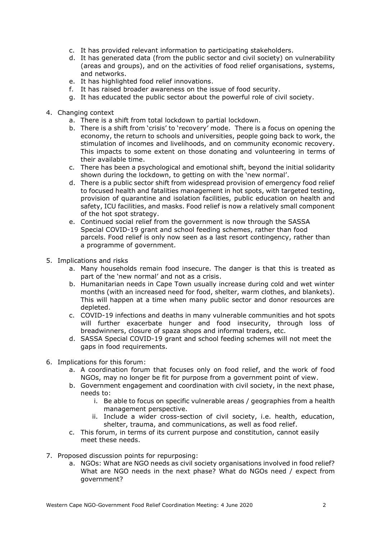- c. It has provided relevant information to participating stakeholders.
- d. It has generated data (from the public sector and civil society) on vulnerability (areas and groups), and on the activities of food relief organisations, systems, and networks.
- e. It has highlighted food relief innovations.
- f. It has raised broader awareness on the issue of food security.
- g. It has educated the public sector about the powerful role of civil society.
- 4. Changing context
	- a. There is a shift from total lockdown to partial lockdown.
	- b. There is a shift from 'crisis' to 'recovery' mode. There is a focus on opening the economy, the return to schools and universities, people going back to work, the stimulation of incomes and livelihoods, and on community economic recovery. This impacts to some extent on those donating and volunteering in terms of their available time.
	- c. There has been a psychological and emotional shift, beyond the initial solidarity shown during the lockdown, to getting on with the 'new normal'.
	- d. There is a public sector shift from widespread provision of emergency food relief to focused health and fatalities management in hot spots, with targeted testing, provision of quarantine and isolation facilities, public education on health and safety, ICU facilities, and masks. Food relief is now a relatively small component of the hot spot strategy.
	- e. Continued social relief from the government is now through the SASSA Special COVID-19 grant and school feeding schemes, rather than food parcels. Food relief is only now seen as a last resort contingency, rather than a programme of government.
- 5. Implications and risks
	- a. Many households remain food insecure. The danger is that this is treated as part of the 'new normal' and not as a crisis.
	- b. Humanitarian needs in Cape Town usually increase during cold and wet winter months (with an increased need for food, shelter, warm clothes, and blankets). This will happen at a time when many public sector and donor resources are depleted.
	- c. COVID-19 infections and deaths in many vulnerable communities and hot spots will further exacerbate hunger and food insecurity, through loss of breadwinners, closure of spaza shops and informal traders, etc.
	- d. SASSA Special COVID-19 grant and school feeding schemes will not meet the gaps in food requirements.
- 6. Implications for this forum:
	- a. A coordination forum that focuses only on food relief, and the work of food NGOs, may no longer be fit for purpose from a government point of view.
	- b. Government engagement and coordination with civil society, in the next phase, needs to:
		- i. Be able to focus on specific vulnerable areas / geographies from a health management perspective.
		- ii. Include a wider cross-section of civil society, i.e. health, education, shelter, trauma, and communications, as well as food relief.
	- c. This forum, in terms of its current purpose and constitution, cannot easily meet these needs.
- 7. Proposed discussion points for repurposing:
	- a. NGOs: What are NGO needs as civil society organisations involved in food relief? What are NGO needs in the next phase? What do NGOs need / expect from government?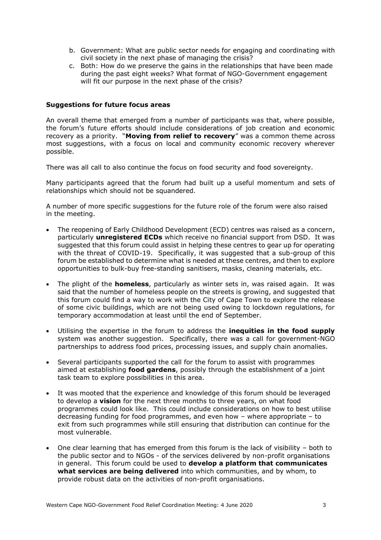- b. Government: What are public sector needs for engaging and coordinating with civil society in the next phase of managing the crisis?
- c. Both: How do we preserve the gains in the relationships that have been made during the past eight weeks? What format of NGO-Government engagement will fit our purpose in the next phase of the crisis?

#### **Suggestions for future focus areas**

An overall theme that emerged from a number of participants was that, where possible, the forum's future efforts should include considerations of job creation and economic recovery as a priority. "**Moving from relief to recovery**" was a common theme across most suggestions, with a focus on local and community economic recovery wherever possible.

There was all call to also continue the focus on food security and food sovereignty.

Many participants agreed that the forum had built up a useful momentum and sets of relationships which should not be squandered.

A number of more specific suggestions for the future role of the forum were also raised in the meeting.

- The reopening of Early Childhood Development (ECD) centres was raised as a concern, particularly **unregistered ECDs** which receive no financial support from DSD. It was suggested that this forum could assist in helping these centres to gear up for operating with the threat of COVID-19. Specifically, it was suggested that a sub-group of this forum be established to determine what is needed at these centres, and then to explore opportunities to bulk-buy free-standing sanitisers, masks, cleaning materials, etc.
- The plight of the **homeless**, particularly as winter sets in, was raised again. It was said that the number of homeless people on the streets is growing, and suggested that this forum could find a way to work with the City of Cape Town to explore the release of some civic buildings, which are not being used owing to lockdown regulations, for temporary accommodation at least until the end of September.
- Utilising the expertise in the forum to address the **inequities in the food supply** system was another suggestion. Specifically, there was a call for government-NGO partnerships to address food prices, processing issues, and supply chain anomalies.
- Several participants supported the call for the forum to assist with programmes aimed at establishing **food gardens**, possibly through the establishment of a joint task team to explore possibilities in this area.
- It was mooted that the experience and knowledge of this forum should be leveraged to develop a **vision** for the next three months to three years, on what food programmes could look like. This could include considerations on how to best utilise decreasing funding for food programmes, and even how – where appropriate – to exit from such programmes while still ensuring that distribution can continue for the most vulnerable.
- One clear learning that has emerged from this forum is the lack of visibility both to the public sector and to NGOs - of the services delivered by non-profit organisations in general. This forum could be used to **develop a platform that communicates what services are being delivered** into which communities, and by whom, to provide robust data on the activities of non-profit organisations.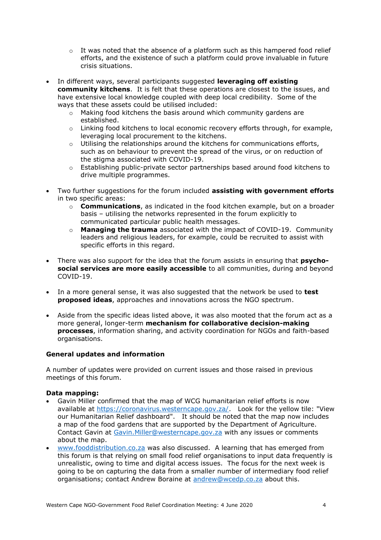- $\circ$  It was noted that the absence of a platform such as this hampered food relief efforts, and the existence of such a platform could prove invaluable in future crisis situations.
- In different ways, several participants suggested **leveraging off existing community kitchens**. It is felt that these operations are closest to the issues, and have extensive local knowledge coupled with deep local credibility. Some of the ways that these assets could be utilised included:
	- o Making food kitchens the basis around which community gardens are established.
	- o Linking food kitchens to local economic recovery efforts through, for example, leveraging local procurement to the kitchens.
	- $\circ$  Utilising the relationships around the kitchens for communications efforts, such as on behaviour to prevent the spread of the virus, or on reduction of the stigma associated with COVID-19.
	- o Establishing public-private sector partnerships based around food kitchens to drive multiple programmes.
- Two further suggestions for the forum included **assisting with government efforts** in two specific areas:
	- o **Communications**, as indicated in the food kitchen example, but on a broader basis – utilising the networks represented in the forum explicitly to communicated particular public health messages.
	- o **Managing the trauma** associated with the impact of COVID-19. Community leaders and religious leaders, for example, could be recruited to assist with specific efforts in this regard.
- There was also support for the idea that the forum assists in ensuring that **psychosocial services are more easily accessible** to all communities, during and beyond COVID-19.
- In a more general sense, it was also suggested that the network be used to **test proposed ideas**, approaches and innovations across the NGO spectrum.
- Aside from the specific ideas listed above, it was also mooted that the forum act as a more general, longer-term **mechanism for collaborative decision-making processes**, information sharing, and activity coordination for NGOs and faith-based organisations.

# **General updates and information**

A number of updates were provided on current issues and those raised in previous meetings of this forum.

#### **Data mapping:**

- Gavin Miller confirmed that the map of WCG humanitarian relief efforts is now available at [https://coronavirus.westerncape.gov.za/.](https://coronavirus.westerncape.gov.za/) Look for the yellow tile: "View our Humanitarian Relief dashboard". It should be noted that the map now includes a map of the food gardens that are supported by the Department of Agriculture. Contact Gavin at [Gavin.Miller@westerncape.gov.za](mailto:Gavin.Miller@westerncape.gov.za) with any issues or comments about the map.
- [www.fooddistribution.co.za](http://www.fooddistribution.co.za/) was also discussed. A learning that has emerged from this forum is that relying on small food relief organisations to input data frequently is unrealistic, owing to time and digital access issues. The focus for the next week is going to be on capturing the data from a smaller number of intermediary food relief organisations; contact Andrew Boraine at [andrew@wcedp.co.za](mailto:andrew@wcedp.co.za) about this.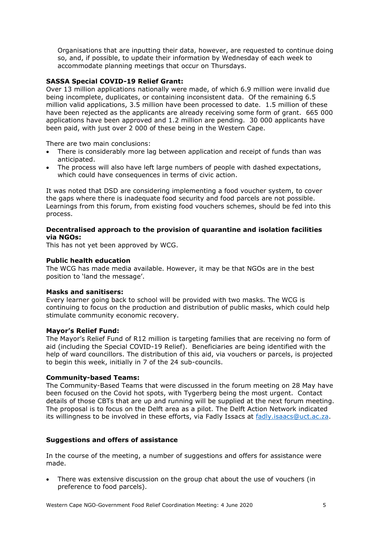Organisations that are inputting their data, however, are requested to continue doing so, and, if possible, to update their information by Wednesday of each week to accommodate planning meetings that occur on Thursdays.

## **SASSA Special COVID-19 Relief Grant:**

Over 13 million applications nationally were made, of which 6.9 million were invalid due being incomplete, duplicates, or containing inconsistent data. Of the remaining 6.5 million valid applications, 3.5 million have been processed to date. 1.5 million of these have been rejected as the applicants are already receiving some form of grant. 665 000 applications have been approved and 1.2 million are pending. 30 000 applicants have been paid, with just over 2 000 of these being in the Western Cape.

There are two main conclusions:

- There is considerably more lag between application and receipt of funds than was anticipated.
- The process will also have left large numbers of people with dashed expectations, which could have consequences in terms of civic action.

It was noted that DSD are considering implementing a food voucher system, to cover the gaps where there is inadequate food security and food parcels are not possible. Learnings from this forum, from existing food vouchers schemes, should be fed into this process.

#### **Decentralised approach to the provision of quarantine and isolation facilities via NGOs:**

This has not yet been approved by WCG.

#### **Public health education**

The WCG has made media available. However, it may be that NGOs are in the best position to 'land the message'.

#### **Masks and sanitisers:**

Every learner going back to school will be provided with two masks. The WCG is continuing to focus on the production and distribution of public masks, which could help stimulate community economic recovery.

#### **Mayor's Relief Fund:**

The Mayor's Relief Fund of R12 million is targeting families that are receiving no form of aid (including the Special COVID-19 Relief). Beneficiaries are being identified with the help of ward councillors. The distribution of this aid, via vouchers or parcels, is projected to begin this week, initially in 7 of the 24 sub-councils.

#### **Community-based Teams:**

The Community-Based Teams that were discussed in the forum meeting on 28 May have been focused on the Covid hot spots, with Tygerberg being the most urgent. Contact details of those CBTs that are up and running will be supplied at the next forum meeting. The proposal is to focus on the Delft area as a pilot. The Delft Action Network indicated its willingness to be involved in these efforts, via Fadly Issacs at [fadly.isaacs@uct.ac.za.](mailto:fadly.isaacs@uct.ac.za)

#### **Suggestions and offers of assistance**

In the course of the meeting, a number of suggestions and offers for assistance were made.

• There was extensive discussion on the group chat about the use of vouchers (in preference to food parcels).